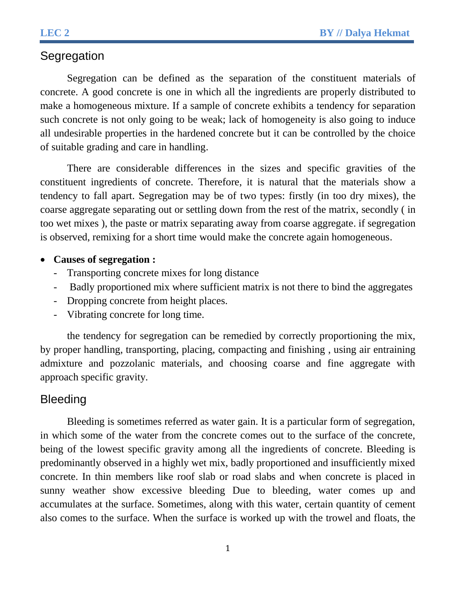# **Segregation**

Segregation can be defined as the separation of the constituent materials of concrete. A good concrete is one in which all the ingredients are properly distributed to make a homogeneous mixture. If a sample of concrete exhibits a tendency for separation such concrete is not only going to be weak; lack of homogeneity is also going to induce all undesirable properties in the hardened concrete but it can be controlled by the choice of suitable grading and care in handling.

There are considerable differences in the sizes and specific gravities of the constituent ingredients of concrete. Therefore, it is natural that the materials show a tendency to fall apart. Segregation may be of two types: firstly (in too dry mixes), the coarse aggregate separating out or settling down from the rest of the matrix, secondly ( in too wet mixes ), the paste or matrix separating away from coarse aggregate. if segregation is observed, remixing for a short time would make the concrete again homogeneous.

## **Causes of segregation :**

- Transporting concrete mixes for long distance
- Badly proportioned mix where sufficient matrix is not there to bind the aggregates
- Dropping concrete from height places.
- Vibrating concrete for long time.

the tendency for segregation can be remedied by correctly proportioning the mix, by proper handling, transporting, placing, compacting and finishing , using air entraining admixture and pozzolanic materials, and choosing coarse and fine aggregate with approach specific gravity.

# Bleeding

Bleeding is sometimes referred as water gain. It is a particular form of segregation, in which some of the water from the concrete comes out to the surface of the concrete, being of the lowest specific gravity among all the ingredients of concrete. Bleeding is predominantly observed in a highly wet mix, badly proportioned and insufficiently mixed concrete. In thin members like roof slab or road slabs and when concrete is placed in sunny weather show excessive bleeding Due to bleeding, water comes up and accumulates at the surface. Sometimes, along with this water, certain quantity of cement also comes to the surface. When the surface is worked up with the trowel and floats, the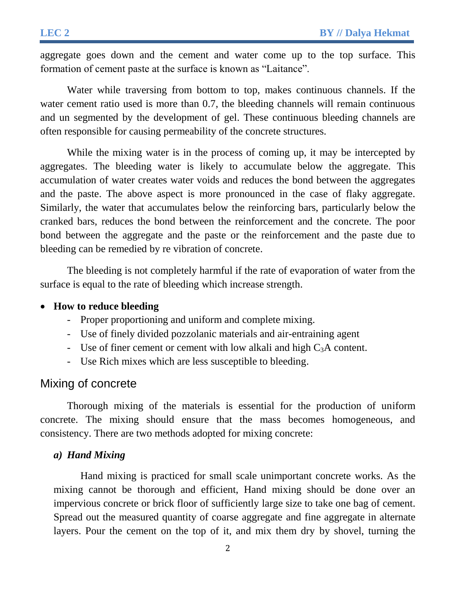aggregate goes down and the cement and water come up to the top surface. This formation of cement paste at the surface is known as "Laitance".

Water while traversing from bottom to top, makes continuous channels. If the water cement ratio used is more than 0.7, the bleeding channels will remain continuous and un segmented by the development of gel. These continuous bleeding channels are often responsible for causing permeability of the concrete structures.

While the mixing water is in the process of coming up, it may be intercepted by aggregates. The bleeding water is likely to accumulate below the aggregate. This accumulation of water creates water voids and reduces the bond between the aggregates and the paste. The above aspect is more pronounced in the case of flaky aggregate. Similarly, the water that accumulates below the reinforcing bars, particularly below the cranked bars, reduces the bond between the reinforcement and the concrete. The poor bond between the aggregate and the paste or the reinforcement and the paste due to bleeding can be remedied by re vibration of concrete.

The bleeding is not completely harmful if the rate of evaporation of water from the surface is equal to the rate of bleeding which increase strength.

### **How to reduce bleeding**

- Proper proportioning and uniform and complete mixing.
- Use of finely divided pozzolanic materials and air-entraining agent
- Use of finer cement or cement with low alkali and high  $C_3A$  content.
- Use Rich mixes which are less susceptible to bleeding.

## Mixing of concrete

Thorough mixing of the materials is essential for the production of uniform concrete. The mixing should ensure that the mass becomes homogeneous, and consistency. There are two methods adopted for mixing concrete:

#### *a) Hand Mixing*

Hand mixing is practiced for small scale unimportant concrete works. As the mixing cannot be thorough and efficient, Hand mixing should be done over an impervious concrete or brick floor of sufficiently large size to take one bag of cement. Spread out the measured quantity of coarse aggregate and fine aggregate in alternate layers. Pour the cement on the top of it, and mix them dry by shovel, turning the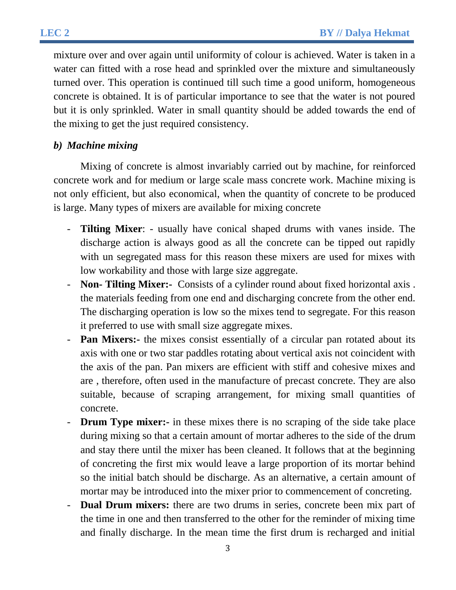mixture over and over again until uniformity of colour is achieved. Water is taken in a water can fitted with a rose head and sprinkled over the mixture and simultaneously turned over. This operation is continued till such time a good uniform, homogeneous concrete is obtained. It is of particular importance to see that the water is not poured but it is only sprinkled. Water in small quantity should be added towards the end of the mixing to get the just required consistency.

## *b) Machine mixing*

Mixing of concrete is almost invariably carried out by machine, for reinforced concrete work and for medium or large scale mass concrete work. Machine mixing is not only efficient, but also economical, when the quantity of concrete to be produced is large. Many types of mixers are available for mixing concrete

- **Tilting Mixer:** usually have conical shaped drums with vanes inside. The discharge action is always good as all the concrete can be tipped out rapidly with un segregated mass for this reason these mixers are used for mixes with low workability and those with large size aggregate.
- **Non- Tilting Mixer:-** Consists of a cylinder round about fixed horizontal axis . the materials feeding from one end and discharging concrete from the other end. The discharging operation is low so the mixes tend to segregate. For this reason it preferred to use with small size aggregate mixes.
- **Pan Mixers:** the mixes consist essentially of a circular pan rotated about its axis with one or two star paddles rotating about vertical axis not coincident with the axis of the pan. Pan mixers are efficient with stiff and cohesive mixes and are , therefore, often used in the manufacture of precast concrete. They are also suitable, because of scraping arrangement, for mixing small quantities of concrete.
- **Drum Type mixer:-** in these mixes there is no scraping of the side take place during mixing so that a certain amount of mortar adheres to the side of the drum and stay there until the mixer has been cleaned. It follows that at the beginning of concreting the first mix would leave a large proportion of its mortar behind so the initial batch should be discharge. As an alternative, a certain amount of mortar may be introduced into the mixer prior to commencement of concreting.
- **Dual Drum mixers:** there are two drums in series, concrete been mix part of the time in one and then transferred to the other for the reminder of mixing time and finally discharge. In the mean time the first drum is recharged and initial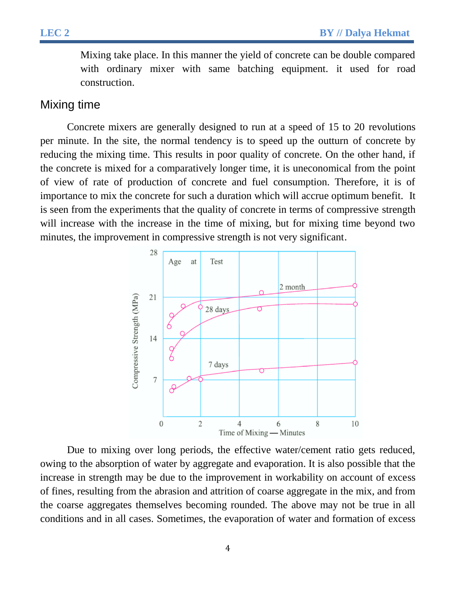Mixing take place. In this manner the yield of concrete can be double compared with ordinary mixer with same batching equipment. it used for road construction.

## Mixing time

Concrete mixers are generally designed to run at a speed of 15 to 20 revolutions per minute. In the site, the normal tendency is to speed up the outturn of concrete by reducing the mixing time. This results in poor quality of concrete. On the other hand, if the concrete is mixed for a comparatively longer time, it is uneconomical from the point of view of rate of production of concrete and fuel consumption. Therefore, it is of importance to mix the concrete for such a duration which will accrue optimum benefit. It is seen from the experiments that the quality of concrete in terms of compressive strength will increase with the increase in the time of mixing, but for mixing time beyond two minutes, the improvement in compressive strength is not very significant.



Due to mixing over long periods, the effective water/cement ratio gets reduced, owing to the absorption of water by aggregate and evaporation. It is also possible that the increase in strength may be due to the improvement in workability on account of excess of fines, resulting from the abrasion and attrition of coarse aggregate in the mix, and from the coarse aggregates themselves becoming rounded. The above may not be true in all conditions and in all cases. Sometimes, the evaporation of water and formation of excess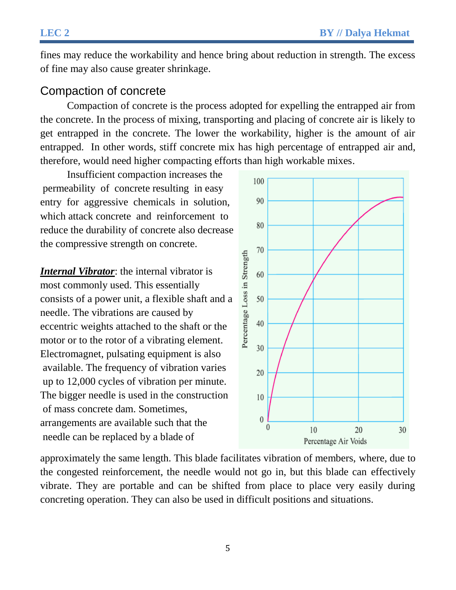fines may reduce the workability and hence bring about reduction in strength. The excess of fine may also cause greater shrinkage.

## Compaction of concrete

Compaction of concrete is the process adopted for expelling the entrapped air from the concrete. In the process of mixing, transporting and placing of concrete air is likely to get entrapped in the concrete. The lower the workability, higher is the amount of air entrapped. In other words, stiff concrete mix has high percentage of entrapped air and, therefore, would need higher compacting efforts than high workable mixes.

Insufficient compaction increases the permeability of concrete resulting in easy entry for aggressive chemicals in solution, which attack concrete and reinforcement to reduce the durability of concrete also decrease the compressive strength on concrete.

*Internal Vibrator*: the internal vibrator is most commonly used. This essentially consists of a power unit, a flexible shaft and a needle. The vibrations are caused by eccentric weights attached to the shaft or the motor or to the rotor of a vibrating element. Electromagnet, pulsating equipment is also available. The frequency of vibration varies up to 12,000 cycles of vibration per minute. The bigger needle is used in the construction of mass concrete dam. Sometimes, arrangements are available such that the needle can be replaced by a blade of



approximately the same length. This blade facilitates vibration of members, where, due to the congested reinforcement, the needle would not go in, but this blade can effectively vibrate. They are portable and can be shifted from place to place very easily during concreting operation. They can also be used in difficult positions and situations.